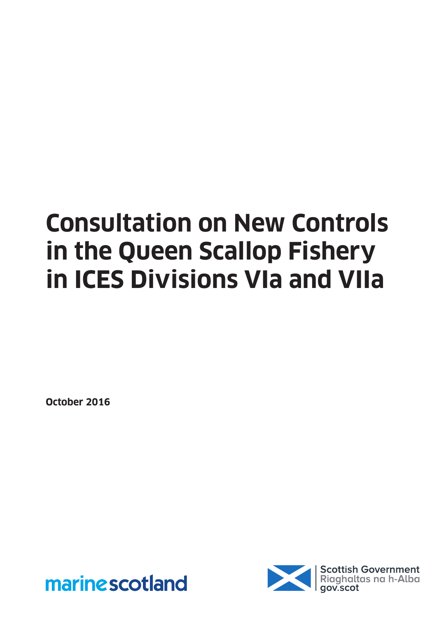# **Consultation on New Controls in the Queen Scallop Fishery in ICES Divisions VIa and VIIa**

**October 2016**



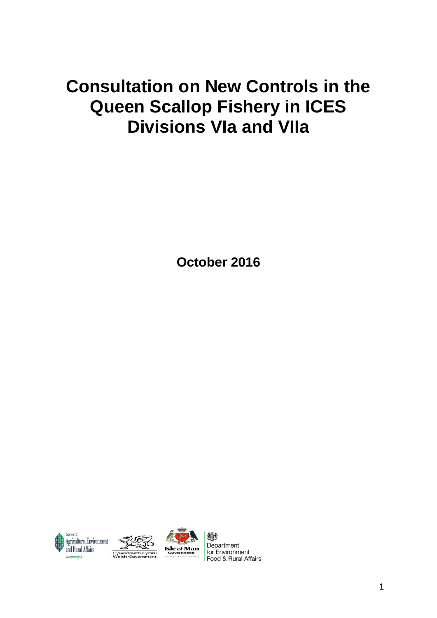# **Consultation on New Controls in the Queen Scallop Fishery in ICES Divisions VIa and VIIa**

**October 2016**







燃 Department for Environment Food & Rural Affairs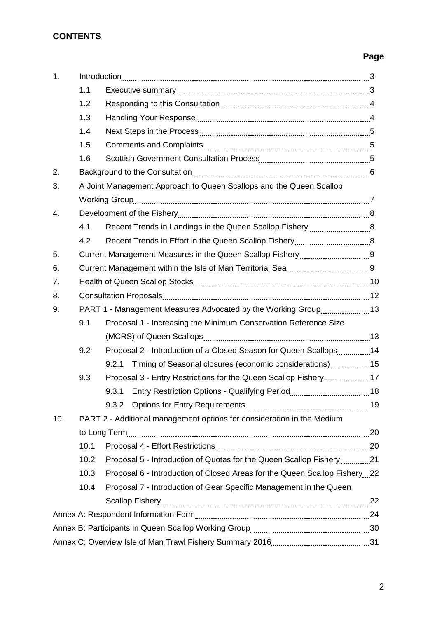# **CONTENTS**

# **Page**

| 1.  |                                                               |                                                                            |  |  |  |  |  |
|-----|---------------------------------------------------------------|----------------------------------------------------------------------------|--|--|--|--|--|
|     | 1.1                                                           |                                                                            |  |  |  |  |  |
|     | 1.2                                                           |                                                                            |  |  |  |  |  |
|     | 1.3                                                           |                                                                            |  |  |  |  |  |
|     | 1.4                                                           |                                                                            |  |  |  |  |  |
|     | 1.5                                                           |                                                                            |  |  |  |  |  |
|     | 1.6                                                           |                                                                            |  |  |  |  |  |
| 2.  |                                                               |                                                                            |  |  |  |  |  |
| 3.  |                                                               | A Joint Management Approach to Queen Scallops and the Queen Scallop        |  |  |  |  |  |
|     |                                                               |                                                                            |  |  |  |  |  |
| 4.  |                                                               |                                                                            |  |  |  |  |  |
|     | 4.1                                                           |                                                                            |  |  |  |  |  |
|     | 4.2                                                           |                                                                            |  |  |  |  |  |
| 5.  |                                                               |                                                                            |  |  |  |  |  |
| 6.  |                                                               |                                                                            |  |  |  |  |  |
| 7.  |                                                               |                                                                            |  |  |  |  |  |
| 8.  |                                                               |                                                                            |  |  |  |  |  |
| 9.  | PART 1 - Management Measures Advocated by the Working Group13 |                                                                            |  |  |  |  |  |
|     | 9.1                                                           | Proposal 1 - Increasing the Minimum Conservation Reference Size            |  |  |  |  |  |
|     |                                                               |                                                                            |  |  |  |  |  |
|     | 9.2                                                           | Proposal 2 - Introduction of a Closed Season for Queen Scallops14          |  |  |  |  |  |
|     |                                                               | 9.2.1                                                                      |  |  |  |  |  |
|     | 9.3                                                           | Proposal 3 - Entry Restrictions for the Queen Scallop Fishery17            |  |  |  |  |  |
|     |                                                               | 9.3.1                                                                      |  |  |  |  |  |
|     |                                                               |                                                                            |  |  |  |  |  |
| 10. |                                                               | PART 2 - Additional management options for consideration in the Medium     |  |  |  |  |  |
|     |                                                               |                                                                            |  |  |  |  |  |
|     | 10.1                                                          |                                                                            |  |  |  |  |  |
|     | 10.2                                                          | Proposal 5 - Introduction of Quotas for the Queen Scallop Fishery 21       |  |  |  |  |  |
|     | 10.3                                                          | Proposal 6 - Introduction of Closed Areas for the Queen Scallop Fishery 22 |  |  |  |  |  |
|     | 10.4                                                          | Proposal 7 - Introduction of Gear Specific Management in the Queen         |  |  |  |  |  |
|     |                                                               |                                                                            |  |  |  |  |  |
|     |                                                               |                                                                            |  |  |  |  |  |
|     |                                                               |                                                                            |  |  |  |  |  |
|     |                                                               |                                                                            |  |  |  |  |  |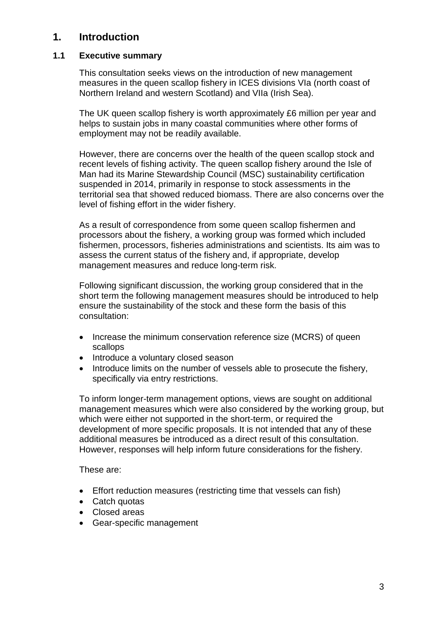# **1. Introduction**

#### **1.1 Executive summary**

This consultation seeks views on the introduction of new management measures in the queen scallop fishery in ICES divisions VIa (north coast of Northern Ireland and western Scotland) and VIIa (Irish Sea).

The UK queen scallop fishery is worth approximately £6 million per year and helps to sustain jobs in many coastal communities where other forms of employment may not be readily available.

However, there are concerns over the health of the queen scallop stock and recent levels of fishing activity. The queen scallop fishery around the Isle of Man had its Marine Stewardship Council (MSC) sustainability certification suspended in 2014, primarily in response to stock assessments in the territorial sea that showed reduced biomass. There are also concerns over the level of fishing effort in the wider fishery.

As a result of correspondence from some queen scallop fishermen and processors about the fishery, a working group was formed which included fishermen, processors, fisheries administrations and scientists. Its aim was to assess the current status of the fishery and, if appropriate, develop management measures and reduce long-term risk.

Following significant discussion, the working group considered that in the short term the following management measures should be introduced to help ensure the sustainability of the stock and these form the basis of this consultation:

- Increase the minimum conservation reference size (MCRS) of queen scallops
- Introduce a voluntary closed season
- Introduce limits on the number of vessels able to prosecute the fishery, specifically via entry restrictions.

To inform longer-term management options, views are sought on additional management measures which were also considered by the working group, but which were either not supported in the short-term, or required the development of more specific proposals. It is not intended that any of these additional measures be introduced as a direct result of this consultation. However, responses will help inform future considerations for the fishery.

These are:

- Effort reduction measures (restricting time that vessels can fish)
- Catch quotas
- Closed areas
- Gear-specific management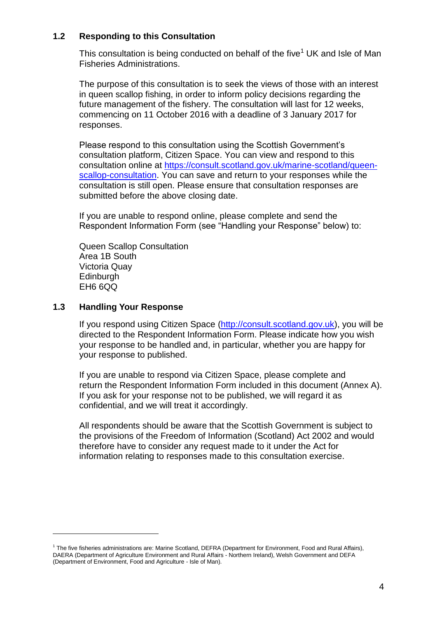#### **1.2 Responding to this Consultation**

This consultation is being conducted on behalf of the five<sup>1</sup> UK and Isle of Man Fisheries Administrations.

The purpose of this consultation is to seek the views of those with an interest in queen scallop fishing, in order to inform policy decisions regarding the future management of the fishery. The consultation will last for 12 weeks, commencing on 11 October 2016 with a deadline of 3 January 2017 for responses.

Please respond to this consultation using the Scottish Government"s consultation platform, Citizen Space. You can view and respond to this consultation online at [https://consult.scotland.gov.uk/marine-scotland/queen](https://consult.scotland.gov.uk/marine-scotland/queen-scallop-consultation)[scallop-consultation.](https://consult.scotland.gov.uk/marine-scotland/queen-scallop-consultation) You can save and return to your responses while the consultation is still open. Please ensure that consultation responses are submitted before the above closing date.

If you are unable to respond online, please complete and send the Respondent Information Form (see "Handling your Response" below) to:

Queen Scallop Consultation Area 1B South Victoria Quay **Edinburgh** EH6 6QQ

#### **1.3 Handling Your Response**

 $\overline{\phantom{a}}$ 

If you respond using Citizen Space [\(http://consult.scotland.gov.uk\)](http://consult.scotland.gov.uk/), you will be directed to the Respondent Information Form. Please indicate how you wish your response to be handled and, in particular, whether you are happy for your response to published.

If you are unable to respond via Citizen Space, please complete and return the Respondent Information Form included in this document (Annex A). If you ask for your response not to be published, we will regard it as confidential, and we will treat it accordingly.

All respondents should be aware that the Scottish Government is subject to the provisions of the Freedom of Information (Scotland) Act 2002 and would therefore have to consider any request made to it under the Act for information relating to responses made to this consultation exercise.

<sup>&</sup>lt;sup>1</sup> The five fisheries administrations are: Marine Scotland, DEFRA (Department for Environment, Food and Rural Affairs), DAERA (Department of Agriculture Environment and Rural Affairs - Northern Ireland), Welsh Government and DEFA (Department of Environment, Food and Agriculture - Isle of Man).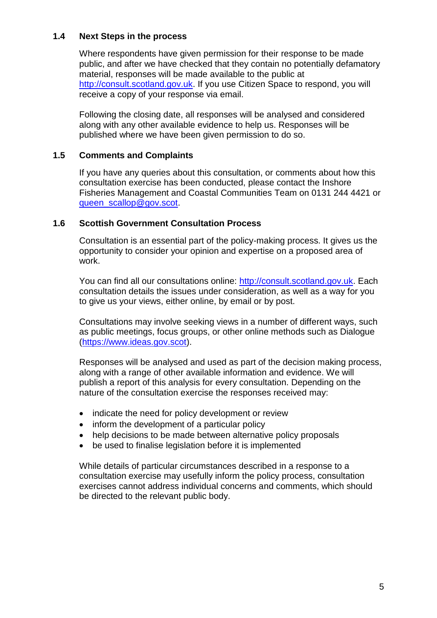#### **1.4 Next Steps in the process**

Where respondents have given permission for their response to be made public, and after we have checked that they contain no potentially defamatory material, responses will be made available to the public at [http://consult.scotland.gov.uk.](http://consult.scotland.gov.uk/) If you use Citizen Space to respond, you will receive a copy of your response via email.

Following the closing date, all responses will be analysed and considered along with any other available evidence to help us. Responses will be published where we have been given permission to do so.

#### **1.5 Comments and Complaints**

If you have any queries about this consultation, or comments about how this consultation exercise has been conducted, please contact the Inshore Fisheries Management and Coastal Communities Team on 0131 244 4421 or [queen\\_scallop@gov.scot.](mailto:queen_scallop@gov.scot)

#### **1.6 Scottish Government Consultation Process**

Consultation is an essential part of the policy-making process. It gives us the opportunity to consider your opinion and expertise on a proposed area of work.

You can find all our consultations online: [http://consult.scotland.gov.uk.](http://consult.scotland.gov.uk/) Each consultation details the issues under consideration, as well as a way for you to give us your views, either online, by email or by post.

Consultations may involve seeking views in a number of different ways, such as public meetings, focus groups, or other online methods such as Dialogue [\(https://www.ideas.gov.scot\)](https://www.ideas.gov.scot/).

Responses will be analysed and used as part of the decision making process, along with a range of other available information and evidence. We will publish a report of this analysis for every consultation. Depending on the nature of the consultation exercise the responses received may:

- indicate the need for policy development or review
- inform the development of a particular policy
- help decisions to be made between alternative policy proposals
- be used to finalise legislation before it is implemented

While details of particular circumstances described in a response to a consultation exercise may usefully inform the policy process, consultation exercises cannot address individual concerns and comments, which should be directed to the relevant public body.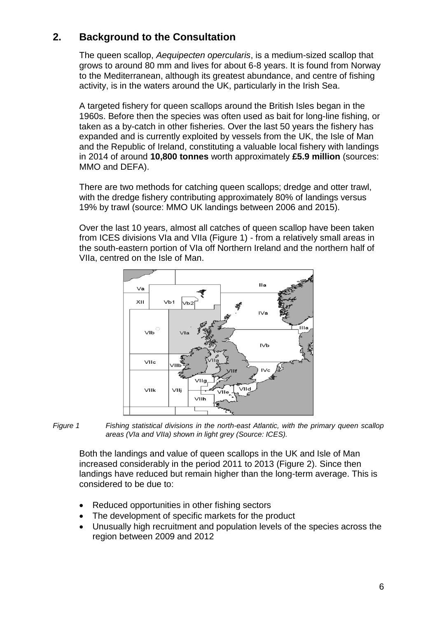# **2. Background to the Consultation**

The queen scallop, *Aequipecten opercularis*, is a medium-sized scallop that grows to around 80 mm and lives for about 6-8 years. It is found from Norway to the Mediterranean, although its greatest abundance, and centre of fishing activity, is in the waters around the UK, particularly in the Irish Sea.

A targeted fishery for queen scallops around the British Isles began in the 1960s. Before then the species was often used as bait for long-line fishing, or taken as a by-catch in other fisheries. Over the last 50 years the fishery has expanded and is currently exploited by vessels from the UK, the Isle of Man and the Republic of Ireland, constituting a valuable local fishery with landings in 2014 of around **10,800 tonnes** worth approximately **£5.9 million** (sources: MMO and DEFA).

There are two methods for catching queen scallops; dredge and otter trawl, with the dredge fishery contributing approximately 80% of landings versus 19% by trawl (source: MMO UK landings between 2006 and 2015).

Over the last 10 years, almost all catches of queen scallop have been taken from ICES divisions VIa and VIIa (Figure 1) - from a relatively small areas in the south-eastern portion of VIa off Northern Ireland and the northern half of VIIa, centred on the Isle of Man.



*Figure 1 Fishing statistical divisions in the north-east Atlantic, with the primary queen scallop areas (VIa and VIIa) shown in light grey (Source: ICES).*

Both the landings and value of queen scallops in the UK and Isle of Man increased considerably in the period 2011 to 2013 (Figure 2). Since then landings have reduced but remain higher than the long-term average. This is considered to be due to:

- Reduced opportunities in other fishing sectors
- The development of specific markets for the product
- Unusually high recruitment and population levels of the species across the region between 2009 and 2012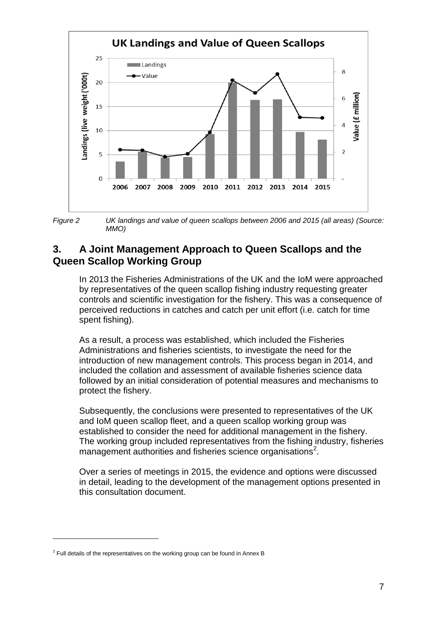

**.** 

*Figure 2 UK landings and value of queen scallops between 2006 and 2015 (all areas) (Source: MMO)*

# **3. A Joint Management Approach to Queen Scallops and the Queen Scallop Working Group**

In 2013 the Fisheries Administrations of the UK and the IoM were approached by representatives of the queen scallop fishing industry requesting greater controls and scientific investigation for the fishery. This was a consequence of perceived reductions in catches and catch per unit effort (i.e. catch for time spent fishing).

As a result, a process was established, which included the Fisheries Administrations and fisheries scientists, to investigate the need for the introduction of new management controls. This process began in 2014, and included the collation and assessment of available fisheries science data followed by an initial consideration of potential measures and mechanisms to protect the fishery.

Subsequently, the conclusions were presented to representatives of the UK and IoM queen scallop fleet, and a queen scallop working group was established to consider the need for additional management in the fishery. The working group included representatives from the fishing industry, fisheries management authorities and fisheries science organisations<sup>2</sup>.

Over a series of meetings in 2015, the evidence and options were discussed in detail, leading to the development of the management options presented in this consultation document.

 $2$  Full details of the representatives on the working group can be found in Annex B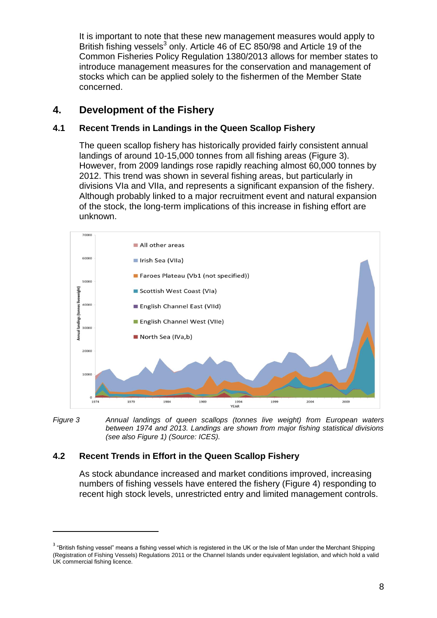It is important to note that these new management measures would apply to British fishing vessels<sup>3</sup> only. Article 46 of EC 850/98 and Article 19 of the Common Fisheries Policy Regulation 1380/2013 allows for member states to introduce management measures for the conservation and management of stocks which can be applied solely to the fishermen of the Member State concerned.

# **4. Development of the Fishery**

#### **4.1 Recent Trends in Landings in the Queen Scallop Fishery**

The queen scallop fishery has historically provided fairly consistent annual landings of around 10-15,000 tonnes from all fishing areas (Figure 3). However, from 2009 landings rose rapidly reaching almost 60,000 tonnes by 2012. This trend was shown in several fishing areas, but particularly in divisions VIa and VIIa, and represents a significant expansion of the fishery. Although probably linked to a major recruitment event and natural expansion of the stock, the long-term implications of this increase in fishing effort are unknown.



*Figure 3 Annual landings of queen scallops (tonnes live weight) from European waters between 1974 and 2013. Landings are shown from major fishing statistical divisions (see also Figure 1) (Source: ICES).*

#### **4.2 Recent Trends in Effort in the Queen Scallop Fishery**

 $\overline{\phantom{a}}$ 

As stock abundance increased and market conditions improved, increasing numbers of fishing vessels have entered the fishery (Figure 4) responding to recent high stock levels, unrestricted entry and limited management controls.

 $3$  "British fishing vessel" means a fishing vessel which is registered in the UK or the Isle of Man under the Merchant Shipping (Registration of Fishing Vessels) Regulations 2011 or the Channel Islands under equivalent legislation, and which hold a valid UK commercial fishing licence.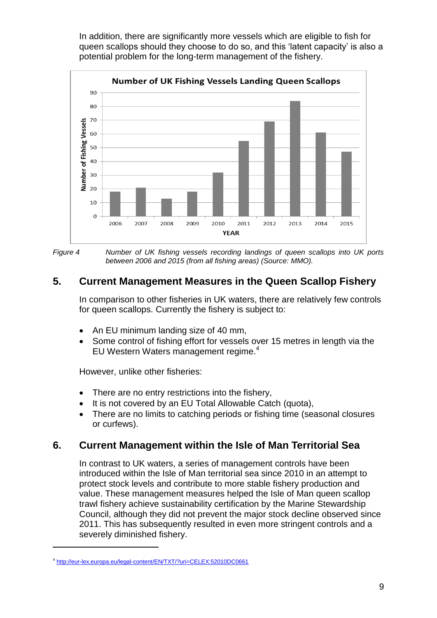In addition, there are significantly more vessels which are eligible to fish for queen scallops should they choose to do so, and this "latent capacity" is also a potential problem for the long-term management of the fishery.



 $\overline{\phantom{a}}$ 

*Figure 4 Number of UK fishing vessels recording landings of queen scallops into UK ports between 2006 and 2015 (from all fishing areas) (Source: MMO).*

### **5. Current Management Measures in the Queen Scallop Fishery**

In comparison to other fisheries in UK waters, there are relatively few controls for queen scallops. Currently the fishery is subject to:

- An EU minimum landing size of 40 mm,
- Some control of fishing effort for vessels over 15 metres in length via the EU Western Waters management regime.<sup>4</sup>

However, unlike other fisheries:

- There are no entry restrictions into the fishery,
- It is not covered by an EU Total Allowable Catch (quota),
- There are no limits to catching periods or fishing time (seasonal closures or curfews).

#### **6. Current Management within the Isle of Man Territorial Sea**

In contrast to UK waters, a series of management controls have been introduced within the Isle of Man territorial sea since 2010 in an attempt to protect stock levels and contribute to more stable fishery production and value. These management measures helped the Isle of Man queen scallop trawl fishery achieve sustainability certification by the Marine Stewardship Council, although they did not prevent the major stock decline observed since 2011. This has subsequently resulted in even more stringent controls and a severely diminished fishery.

<sup>4</sup> <http://eur-lex.europa.eu/legal-content/EN/TXT/?uri=CELEX:52010DC0661>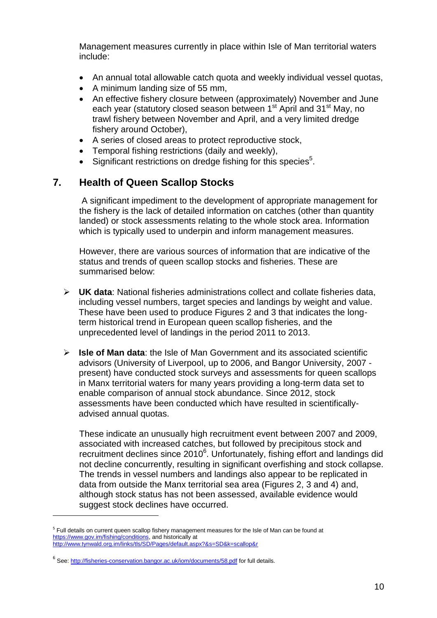Management measures currently in place within Isle of Man territorial waters include:

- An annual total allowable catch quota and weekly individual vessel quotas,
- A minimum landing size of 55 mm,
- An effective fishery closure between (approximately) November and June each year (statutory closed season between 1<sup>st</sup> April and 31<sup>st</sup> May, no trawl fishery between November and April, and a very limited dredge fishery around October),
- A series of closed areas to protect reproductive stock,
- Temporal fishing restrictions (daily and weekly),
- $\bullet$  Significant restrictions on dredge fishing for this species<sup>5</sup>.

#### **7. Health of Queen Scallop Stocks**

A significant impediment to the development of appropriate management for the fishery is the lack of detailed information on catches (other than quantity landed) or stock assessments relating to the whole stock area. Information which is typically used to underpin and inform management measures.

However, there are various sources of information that are indicative of the status and trends of queen scallop stocks and fisheries. These are summarised below:

- **UK data**: National fisheries administrations collect and collate fisheries data, including vessel numbers, target species and landings by weight and value. These have been used to produce Figures 2 and 3 that indicates the longterm historical trend in European queen scallop fisheries, and the unprecedented level of landings in the period 2011 to 2013.
- **Isle of Man data**: the Isle of Man Government and its associated scientific advisors (University of Liverpool, up to 2006, and Bangor University, 2007 present) have conducted stock surveys and assessments for queen scallops in Manx territorial waters for many years providing a long-term data set to enable comparison of annual stock abundance. Since 2012, stock assessments have been conducted which have resulted in scientificallyadvised annual quotas.

These indicate an unusually high recruitment event between 2007 and 2009, associated with increased catches, but followed by precipitous stock and recruitment declines since 2010<sup>6</sup>. Unfortunately, fishing effort and landings did not decline concurrently, resulting in significant overfishing and stock collapse. The trends in vessel numbers and landings also appear to be replicated in data from outside the Manx territorial sea area (Figures 2, 3 and 4) and, although stock status has not been assessed, available evidence would suggest stock declines have occurred.

1

<sup>&</sup>lt;sup>5</sup> Full details on current queen scallop fishery management measures for the Isle of Man can be found at [https://www.gov.im/fishing/conditions,](https://www.gov.im/fishing/conditions) and historically at <http://www.tynwald.org.im/links/tls/SD/Pages/default.aspx?&s=SD&k=scallop&r>

<sup>&</sup>lt;sup>6</sup> See[: http://fisheries-conservation.bangor.ac.uk/iom/documents/58.pdf](http://fisheries-conservation.bangor.ac.uk/iom/documents/58.pdf) for full details.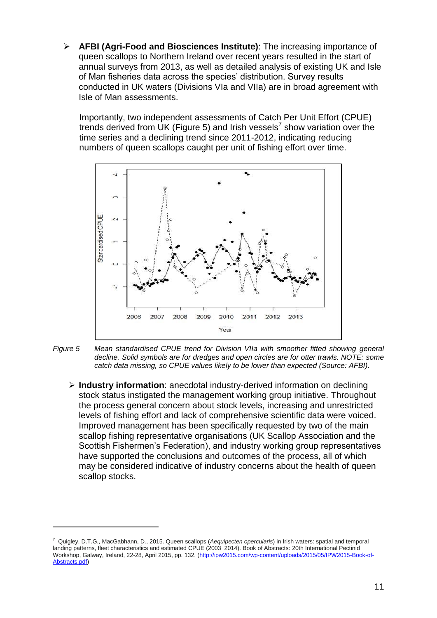**AFBI (Agri-Food and Biosciences Institute)**: The increasing importance of queen scallops to Northern Ireland over recent years resulted in the start of annual surveys from 2013, as well as detailed analysis of existing UK and Isle of Man fisheries data across the species' distribution. Survey results conducted in UK waters (Divisions VIa and VIIa) are in broad agreement with Isle of Man assessments.

Importantly, two independent assessments of Catch Per Unit Effort (CPUE) trends derived from UK (Figure 5) and Irish vessels<sup>7</sup> show variation over the time series and a declining trend since 2011-2012, indicating reducing numbers of queen scallops caught per unit of fishing effort over time.



*Figure 5 Mean standardised CPUE trend for Division VIIa with smoother fitted showing general decline. Solid symbols are for dredges and open circles are for otter trawls. NOTE: some catch data missing, so CPUE values likely to be lower than expected (Source: AFBI).*

 **Industry information**: anecdotal industry-derived information on declining stock status instigated the management working group initiative. Throughout the process general concern about stock levels, increasing and unrestricted levels of fishing effort and lack of comprehensive scientific data were voiced. Improved management has been specifically requested by two of the main scallop fishing representative organisations (UK Scallop Association and the Scottish Fishermen"s Federation), and industry working group representatives have supported the conclusions and outcomes of the process, all of which may be considered indicative of industry concerns about the health of queen scallop stocks.

**.** 

<sup>7</sup> Quigley, D.T.G., MacGabhann, D., 2015. Queen scallops (*Aequipecten opercularis*) in Irish waters: spatial and temporal landing patterns, fleet characteristics and estimated CPUE (2003\_2014). Book of Abstracts: 20th International Pectinid Workshop, Galway, Ireland, 22-28, April 2015, pp. 132. [\(http://ipw2015.com/wp-content/uploads/2015/05/IPW2015-Book-of-](http://ipw2015.com/wp-content/uploads/2015/05/IPW2015-Book-of-Abstracts.pdf)[Abstracts.pdf\)](http://ipw2015.com/wp-content/uploads/2015/05/IPW2015-Book-of-Abstracts.pdf)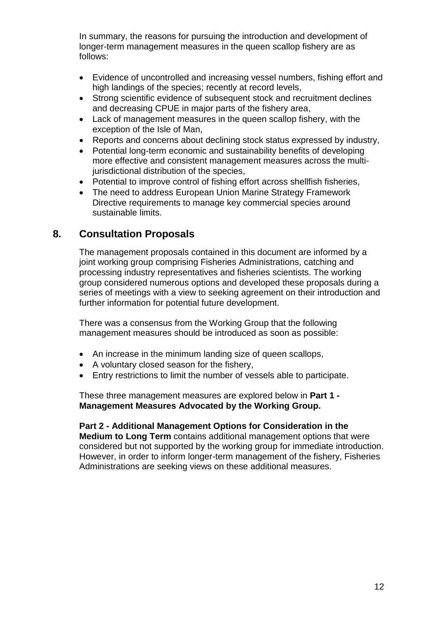In summary, the reasons for pursuing the introduction and development of longer-term management measures in the queen scallop fishery are as follows:

- Evidence of uncontrolled and increasing vessel numbers, fishing effort and high landings of the species; recently at record levels,
- Strong scientific evidence of subsequent stock and recruitment declines and decreasing CPUE in major parts of the fishery area,
- Lack of management measures in the queen scallop fishery, with the exception of the Isle of Man,
- Reports and concerns about declining stock status expressed by industry,
- Potential long-term economic and sustainability benefits of developing more effective and consistent management measures across the multijurisdictional distribution of the species,
- Potential to improve control of fishing effort across shellfish fisheries,
- The need to address European Union Marine Strategy Framework Directive requirements to manage key commercial species around sustainable limits.

#### **8. Consultation Proposals**

The management proposals contained in this document are informed by a joint working group comprising Fisheries Administrations, catching and processing industry representatives and fisheries scientists. The working group considered numerous options and developed these proposals during a series of meetings with a view to seeking agreement on their introduction and further information for potential future development.

There was a consensus from the Working Group that the following management measures should be introduced as soon as possible:

- An increase in the minimum landing size of queen scallops,
- A voluntary closed season for the fishery,
- Entry restrictions to limit the number of vessels able to participate.

These three management measures are explored below in **Part 1 - Management Measures Advocated by the Working Group.**

#### **Part 2 - Additional Management Options for Consideration in the Medium to Long Term** contains additional management options that were considered but not supported by the working group for immediate introduction. However, in order to inform longer-term management of the fishery, Fisheries Administrations are seeking views on these additional measures.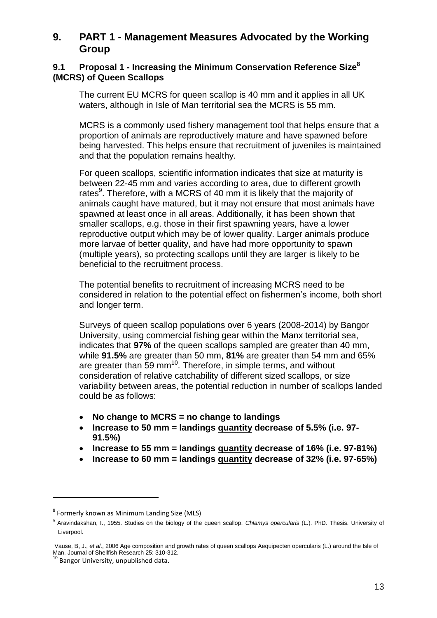# **9. PART 1 - Management Measures Advocated by the Working Group**

#### **9.1 Proposal 1 - Increasing the Minimum Conservation Reference Size<sup>8</sup> (MCRS) of Queen Scallops**

The current EU MCRS for queen scallop is 40 mm and it applies in all UK waters, although in Isle of Man territorial sea the MCRS is 55 mm.

MCRS is a commonly used fishery management tool that helps ensure that a proportion of animals are reproductively mature and have spawned before being harvested. This helps ensure that recruitment of juveniles is maintained and that the population remains healthy.

For queen scallops, scientific information indicates that size at maturity is between 22-45 mm and varies according to area, due to different growth rates<sup>9</sup>. Therefore, with a MCRS of 40 mm it is likely that the majority of animals caught have matured, but it may not ensure that most animals have spawned at least once in all areas. Additionally, it has been shown that smaller scallops, e.g. those in their first spawning years, have a lower reproductive output which may be of lower quality. Larger animals produce more larvae of better quality, and have had more opportunity to spawn (multiple years), so protecting scallops until they are larger is likely to be beneficial to the recruitment process.

The potential benefits to recruitment of increasing MCRS need to be considered in relation to the potential effect on fishermen"s income, both short and longer term.

Surveys of queen scallop populations over 6 years (2008-2014) by Bangor University, using commercial fishing gear within the Manx territorial sea, indicates that **97%** of the queen scallops sampled are greater than 40 mm, while **91.5%** are greater than 50 mm, **81%** are greater than 54 mm and 65% are greater than  $\overline{59}$  mm<sup>10</sup>. Therefore, in simple terms, and without consideration of relative catchability of different sized scallops, or size variability between areas, the potential reduction in number of scallops landed could be as follows:

- **No change to MCRS = no change to landings**
- **Increase to 50 mm = landings quantity decrease of 5.5% (i.e. 97- 91.5%)**
- **Increase to 55 mm = landings quantity decrease of 16% (i.e. 97-81%)**
- **Increase to 60 mm = landings quantity decrease of 32% (i.e. 97-65%)**

**.** 

<sup>8</sup> Formerly known as Minimum Landing Size (MLS)

<sup>9</sup> Aravindakshan, I., 1955. Studies on the biology of the queen scallop, *Chlamys opercularis* (L.). PhD. Thesis. University of Liverpool.

Vause, B, J., *et al*., 2006 Age composition and growth rates of queen scallops Aequipecten opercularis (L.) around the Isle of Man. Journal of Shellfish Research 25: 310-312.

<sup>&</sup>lt;sup>10</sup> Bangor University, unpublished data.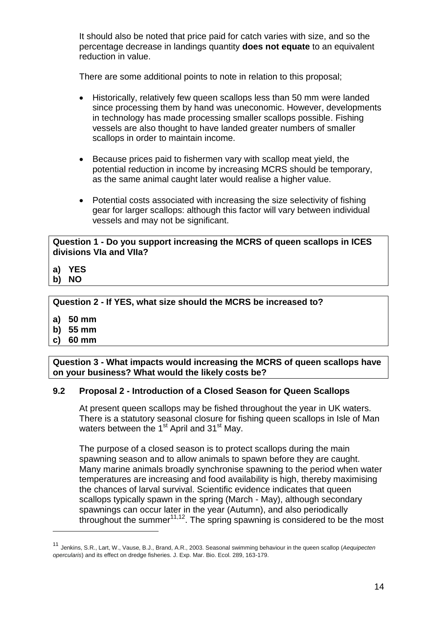It should also be noted that price paid for catch varies with size, and so the percentage decrease in landings quantity **does not equate** to an equivalent reduction in value.

There are some additional points to note in relation to this proposal;

- Historically, relatively few queen scallops less than 50 mm were landed since processing them by hand was uneconomic. However, developments in technology has made processing smaller scallops possible. Fishing vessels are also thought to have landed greater numbers of smaller scallops in order to maintain income.
- Because prices paid to fishermen vary with scallop meat yield, the potential reduction in income by increasing MCRS should be temporary, as the same animal caught later would realise a higher value.
- Potential costs associated with increasing the size selectivity of fishing gear for larger scallops: although this factor will vary between individual vessels and may not be significant.

#### **Question 1 - Do you support increasing the MCRS of queen scallops in ICES divisions VIa and VIIa?**

- **a) YES**
- **b) NO**

#### **Question 2 - If YES, what size should the MCRS be increased to?**

- **a) 50 mm**
- **b) 55 mm**
- **c) 60 mm**

1

**Question 3 - What impacts would increasing the MCRS of queen scallops have on your business? What would the likely costs be?**

#### **9.2 Proposal 2 - Introduction of a Closed Season for Queen Scallops**

At present queen scallops may be fished throughout the year in UK waters. There is a statutory seasonal closure for fishing queen scallops in Isle of Man waters between the  $1<sup>st</sup>$  April and  $31<sup>st</sup>$  May.

The purpose of a closed season is to protect scallops during the main spawning season and to allow animals to spawn before they are caught. Many marine animals broadly synchronise spawning to the period when water temperatures are increasing and food availability is high, thereby maximising the chances of larval survival. Scientific evidence indicates that queen scallops typically spawn in the spring (March - May), although secondary spawnings can occur later in the year (Autumn), and also periodically throughout the summer $11,12$ . The spring spawning is considered to be the most

<sup>11</sup> Jenkins, S.R., Lart, W., Vause, B.J., Brand, A.R., 2003. Seasonal swimming behaviour in the queen scallop (*Aequipecten opercularis*) and its effect on dredge fisheries. J. Exp. Mar. Bio. Ecol. 289, 163-179.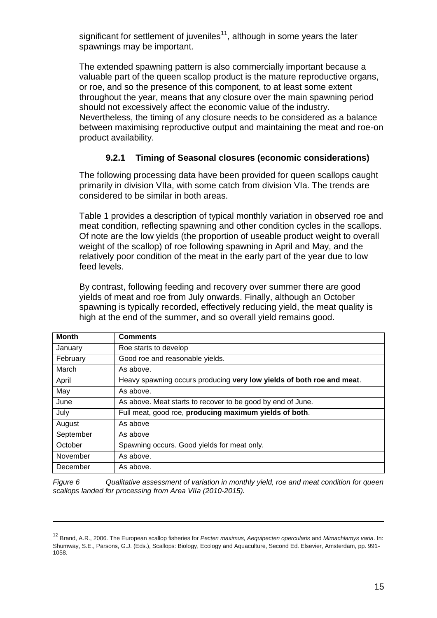significant for settlement of juveniles<sup>11</sup>, although in some years the later spawnings may be important.

The extended spawning pattern is also commercially important because a valuable part of the queen scallop product is the mature reproductive organs, or roe, and so the presence of this component, to at least some extent throughout the year, means that any closure over the main spawning period should not excessively affect the economic value of the industry. Nevertheless, the timing of any closure needs to be considered as a balance between maximising reproductive output and maintaining the meat and roe-on product availability.

#### **9.2.1 Timing of Seasonal closures (economic considerations)**

The following processing data have been provided for queen scallops caught primarily in division VIIa, with some catch from division VIa. The trends are considered to be similar in both areas.

Table 1 provides a description of typical monthly variation in observed roe and meat condition, reflecting spawning and other condition cycles in the scallops. Of note are the low yields (the proportion of useable product weight to overall weight of the scallop) of roe following spawning in April and May, and the relatively poor condition of the meat in the early part of the year due to low feed levels.

By contrast, following feeding and recovery over summer there are good yields of meat and roe from July onwards. Finally, although an October spawning is typically recorded, effectively reducing yield, the meat quality is high at the end of the summer, and so overall yield remains good.

| <b>Month</b> | <b>Comments</b>                                                       |
|--------------|-----------------------------------------------------------------------|
| January      | Roe starts to develop                                                 |
| February     | Good roe and reasonable yields.                                       |
| March        | As above.                                                             |
| April        | Heavy spawning occurs producing very low yields of both roe and meat. |
| May          | As above.                                                             |
| June         | As above. Meat starts to recover to be good by end of June.           |
| July         | Full meat, good roe, producing maximum yields of both.                |
| August       | As above                                                              |
| September    | As above                                                              |
| October      | Spawning occurs. Good yields for meat only.                           |
| November     | As above.                                                             |
| December     | As above.                                                             |

*Figure 6 Qualitative assessment of variation in monthly yield, roe and meat condition for queen scallops landed for processing from Area VIIa (2010-2015).*

**.** 

<sup>12</sup> Brand, A.R., 2006. The European scallop fisheries for *Pecten maximus, Aequipecten opercularis* and *Mimachlamys varia*. In: Shumway, S.E., Parsons, G.J. (Eds.), Scallops: Biology, Ecology and Aquaculture, Second Ed. Elsevier, Amsterdam, pp. 991- 1058.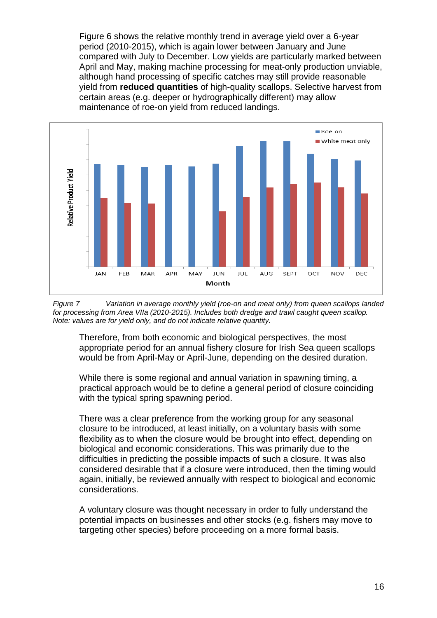Figure 6 shows the relative monthly trend in average yield over a 6-year period (2010-2015), which is again lower between January and June compared with July to December. Low yields are particularly marked between April and May, making machine processing for meat-only production unviable, although hand processing of specific catches may still provide reasonable yield from **reduced quantities** of high-quality scallops. Selective harvest from certain areas (e.g. deeper or hydrographically different) may allow maintenance of roe-on yield from reduced landings.



*Figure 7 Variation in average monthly yield (roe-on and meat only) from queen scallops landed for processing from Area VIIa (2010-2015). Includes both dredge and trawl caught queen scallop. Note: values are for yield only, and do not indicate relative quantity.*

Therefore, from both economic and biological perspectives, the most appropriate period for an annual fishery closure for Irish Sea queen scallops would be from April-May or April-June, depending on the desired duration.

While there is some regional and annual variation in spawning timing, a practical approach would be to define a general period of closure coinciding with the typical spring spawning period.

There was a clear preference from the working group for any seasonal closure to be introduced, at least initially, on a voluntary basis with some flexibility as to when the closure would be brought into effect, depending on biological and economic considerations. This was primarily due to the difficulties in predicting the possible impacts of such a closure. It was also considered desirable that if a closure were introduced, then the timing would again, initially, be reviewed annually with respect to biological and economic considerations.

A voluntary closure was thought necessary in order to fully understand the potential impacts on businesses and other stocks (e.g. fishers may move to targeting other species) before proceeding on a more formal basis.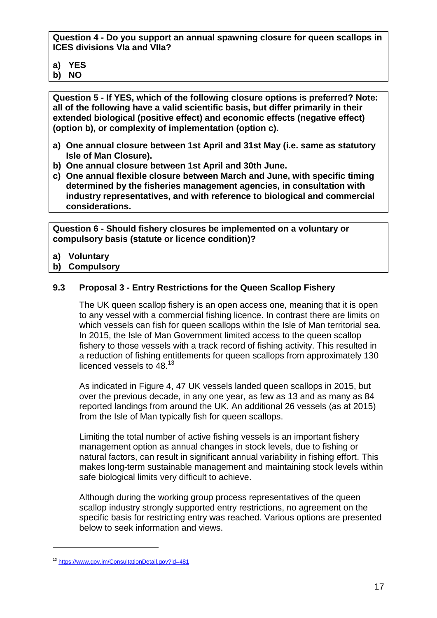**Question 4 - Do you support an annual spawning closure for queen scallops in ICES divisions VIa and VIIa?** 

**a) YES**

**b) NO**

**Question 5 - If YES, which of the following closure options is preferred? Note: all of the following have a valid scientific basis, but differ primarily in their extended biological (positive effect) and economic effects (negative effect) (option b), or complexity of implementation (option c).**

- **a) One annual closure between 1st April and 31st May (i.e. same as statutory Isle of Man Closure).**
- **b) One annual closure between 1st April and 30th June.**
- **c) One annual flexible closure between March and June, with specific timing determined by the fisheries management agencies, in consultation with industry representatives, and with reference to biological and commercial considerations.**

**Question 6 - Should fishery closures be implemented on a voluntary or compulsory basis (statute or licence condition)?** 

- **a) Voluntary**
- **b) Compulsory**

#### **9.3 Proposal 3 - Entry Restrictions for the Queen Scallop Fishery**

The UK queen scallop fishery is an open access one, meaning that it is open to any vessel with a commercial fishing licence. In contrast there are limits on which vessels can fish for queen scallops within the Isle of Man territorial sea. In 2015, the Isle of Man Government limited access to the queen scallop fishery to those vessels with a track record of fishing activity. This resulted in a reduction of fishing entitlements for queen scallops from approximately 130 licenced vessels to 48.<sup>13</sup>

As indicated in Figure 4, 47 UK vessels landed queen scallops in 2015, but over the previous decade, in any one year, as few as 13 and as many as 84 reported landings from around the UK. An additional 26 vessels (as at 2015) from the Isle of Man typically fish for queen scallops.

Limiting the total number of active fishing vessels is an important fishery management option as annual changes in stock levels, due to fishing or natural factors, can result in significant annual variability in fishing effort. This makes long-term sustainable management and maintaining stock levels within safe biological limits very difficult to achieve.

Although during the working group process representatives of the queen scallop industry strongly supported entry restrictions, no agreement on the specific basis for restricting entry was reached. Various options are presented below to seek information and views.

 $\overline{\phantom{a}}$ 

<sup>13</sup> <https://www.gov.im/ConsultationDetail.gov?id=481>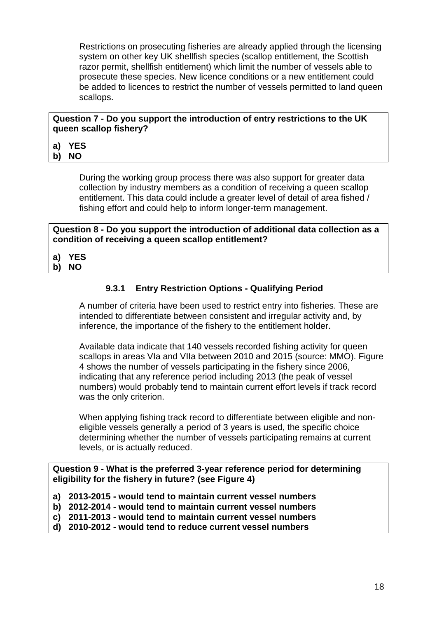Restrictions on prosecuting fisheries are already applied through the licensing system on other key UK shellfish species (scallop entitlement, the Scottish razor permit, shellfish entitlement) which limit the number of vessels able to prosecute these species. New licence conditions or a new entitlement could be added to licences to restrict the number of vessels permitted to land queen scallops.

#### **Question 7 - Do you support the introduction of entry restrictions to the UK queen scallop fishery?**

**a) YES**

**b) NO** 

During the working group process there was also support for greater data collection by industry members as a condition of receiving a queen scallop entitlement. This data could include a greater level of detail of area fished / fishing effort and could help to inform longer-term management.

**Question 8 - Do you support the introduction of additional data collection as a condition of receiving a queen scallop entitlement?**

**a) YES**

#### **b) NO**

#### **9.3.1 Entry Restriction Options - Qualifying Period**

A number of criteria have been used to restrict entry into fisheries. These are intended to differentiate between consistent and irregular activity and, by inference, the importance of the fishery to the entitlement holder.

Available data indicate that 140 vessels recorded fishing activity for queen scallops in areas VIa and VIIa between 2010 and 2015 (source: MMO). Figure 4 shows the number of vessels participating in the fishery since 2006, indicating that any reference period including 2013 (the peak of vessel numbers) would probably tend to maintain current effort levels if track record was the only criterion.

When applying fishing track record to differentiate between eligible and noneligible vessels generally a period of 3 years is used, the specific choice determining whether the number of vessels participating remains at current levels, or is actually reduced.

**Question 9 - What is the preferred 3-year reference period for determining eligibility for the fishery in future? (see Figure 4)**

- **a) 2013-2015 - would tend to maintain current vessel numbers**
- **b) 2012-2014 - would tend to maintain current vessel numbers**
- **c) 2011-2013 - would tend to maintain current vessel numbers**
- **d) 2010-2012 - would tend to reduce current vessel numbers**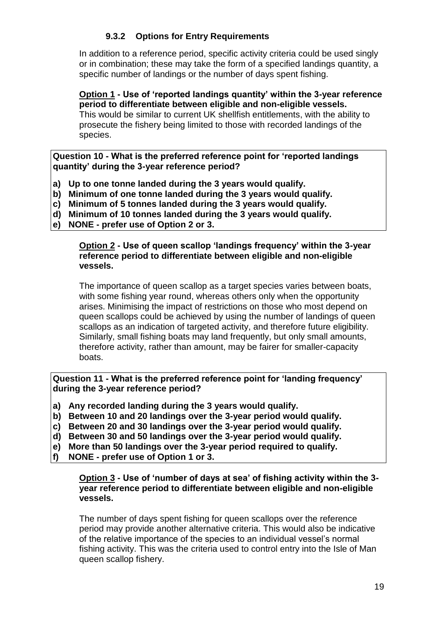#### **9.3.2 Options for Entry Requirements**

In addition to a reference period, specific activity criteria could be used singly or in combination; these may take the form of a specified landings quantity, a specific number of landings or the number of days spent fishing.

**Option 1 - Use of 'reported landings quantity' within the 3-year reference period to differentiate between eligible and non-eligible vessels.**

This would be similar to current UK shellfish entitlements, with the ability to prosecute the fishery being limited to those with recorded landings of the species.

**Question 10 - What is the preferred reference point for 'reported landings quantity' during the 3-year reference period?**

- **a) Up to one tonne landed during the 3 years would qualify.**
- **b) Minimum of one tonne landed during the 3 years would qualify.**
- **c) Minimum of 5 tonnes landed during the 3 years would qualify.**
- **d) Minimum of 10 tonnes landed during the 3 years would qualify.**
- **e) NONE - prefer use of Option 2 or 3.**

#### **Option 2 - Use of queen scallop 'landings frequency' within the 3-year reference period to differentiate between eligible and non-eligible vessels.**

The importance of queen scallop as a target species varies between boats, with some fishing year round, whereas others only when the opportunity arises. Minimising the impact of restrictions on those who most depend on queen scallops could be achieved by using the number of landings of queen scallops as an indication of targeted activity, and therefore future eligibility. Similarly, small fishing boats may land frequently, but only small amounts, therefore activity, rather than amount, may be fairer for smaller-capacity boats.

**Question 11 - What is the preferred reference point for 'landing frequency' during the 3-year reference period?**

- **a) Any recorded landing during the 3 years would qualify.**
- **b) Between 10 and 20 landings over the 3-year period would qualify.**
- **c) Between 20 and 30 landings over the 3-year period would qualify.**
- **d) Between 30 and 50 landings over the 3-year period would qualify.**
- **e) More than 50 landings over the 3-year period required to qualify.**
- **f) NONE - prefer use of Option 1 or 3.**

#### **Option 3 - Use of 'number of days at sea' of fishing activity within the 3 year reference period to differentiate between eligible and non-eligible vessels.**

The number of days spent fishing for queen scallops over the reference period may provide another alternative criteria. This would also be indicative of the relative importance of the species to an individual vessel"s normal fishing activity. This was the criteria used to control entry into the Isle of Man queen scallop fishery.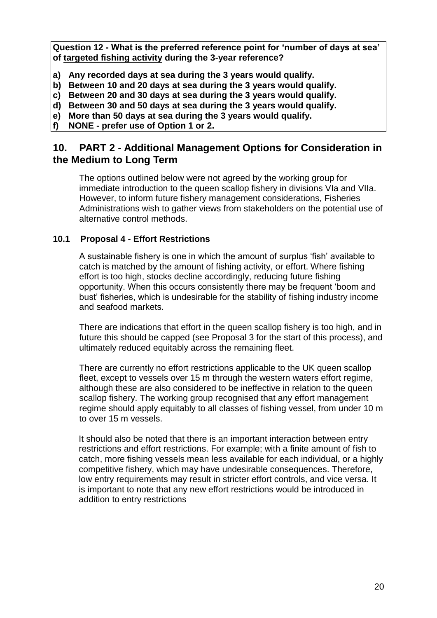**Question 12 - What is the preferred reference point for 'number of days at sea' of targeted fishing activity during the 3-year reference?** 

- **a) Any recorded days at sea during the 3 years would qualify.**
- **b) Between 10 and 20 days at sea during the 3 years would qualify.**
- **c) Between 20 and 30 days at sea during the 3 years would qualify.**
- **d) Between 30 and 50 days at sea during the 3 years would qualify.**
- **e) More than 50 days at sea during the 3 years would qualify.**
- **f) NONE - prefer use of Option 1 or 2.**

# **10. PART 2 - Additional Management Options for Consideration in the Medium to Long Term**

The options outlined below were not agreed by the working group for immediate introduction to the queen scallop fishery in divisions VIa and VIIa. However, to inform future fishery management considerations, Fisheries Administrations wish to gather views from stakeholders on the potential use of alternative control methods.

#### **10.1 Proposal 4 - Effort Restrictions**

A sustainable fishery is one in which the amount of surplus "fish" available to catch is matched by the amount of fishing activity, or effort. Where fishing effort is too high, stocks decline accordingly, reducing future fishing opportunity. When this occurs consistently there may be frequent "boom and bust" fisheries, which is undesirable for the stability of fishing industry income and seafood markets.

There are indications that effort in the queen scallop fishery is too high, and in future this should be capped (see Proposal 3 for the start of this process), and ultimately reduced equitably across the remaining fleet.

There are currently no effort restrictions applicable to the UK queen scallop fleet, except to vessels over 15 m through the western waters effort regime, although these are also considered to be ineffective in relation to the queen scallop fishery. The working group recognised that any effort management regime should apply equitably to all classes of fishing vessel, from under 10 m to over 15 m vessels.

It should also be noted that there is an important interaction between entry restrictions and effort restrictions. For example; with a finite amount of fish to catch, more fishing vessels mean less available for each individual, or a highly competitive fishery, which may have undesirable consequences. Therefore, low entry requirements may result in stricter effort controls, and vice versa. It is important to note that any new effort restrictions would be introduced in addition to entry restrictions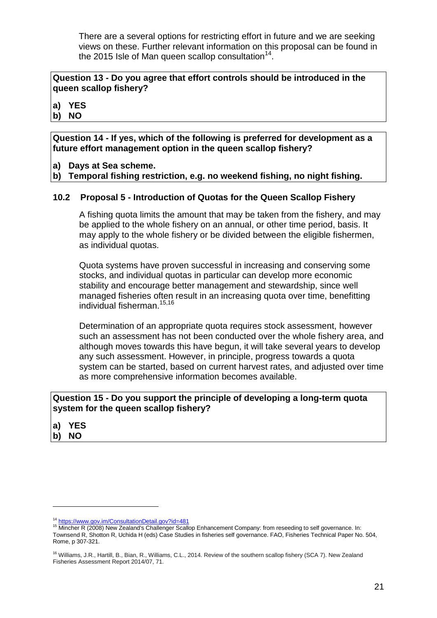There are a several options for restricting effort in future and we are seeking views on these. Further relevant information on this proposal can be found in the 2015 Isle of Man queen scallop consultation<sup>14</sup>.

#### **Question 13 - Do you agree that effort controls should be introduced in the queen scallop fishery?**

**a) YES**

**b) NO**

**Question 14 - If yes, which of the following is preferred for development as a future effort management option in the queen scallop fishery?**

**a) Days at Sea scheme.**

**b) Temporal fishing restriction, e.g. no weekend fishing, no night fishing.**

#### **10.2 Proposal 5 - Introduction of Quotas for the Queen Scallop Fishery**

A fishing quota limits the amount that may be taken from the fishery, and may be applied to the whole fishery on an annual, or other time period, basis. It may apply to the whole fishery or be divided between the eligible fishermen, as individual quotas.

Quota systems have proven successful in increasing and conserving some stocks, and individual quotas in particular can develop more economic stability and encourage better management and stewardship, since well managed fisheries often result in an increasing quota over time, benefitting individual fisherman.15,16

Determination of an appropriate quota requires stock assessment, however such an assessment has not been conducted over the whole fishery area, and although moves towards this have begun, it will take several years to develop any such assessment. However, in principle, progress towards a quota system can be started, based on current harvest rates, and adjusted over time as more comprehensive information becomes available.

#### **Question 15 - Do you support the principle of developing a long-term quota system for the queen scallop fishery?**

- **a) YES**
- **b) NO**

1

<sup>14</sup> <https://www.gov.im/ConsultationDetail.gov?id=481>

<sup>15</sup> Mincher R (2008) New Zealand's Challenger Scallop Enhancement Company: from reseeding to self governance. In: Townsend R, Shotton R, Uchida H (eds) Case Studies in fisheries self governance. FAO, Fisheries Technical Paper No. 504, Rome, p 307-321.

<sup>&</sup>lt;sup>16</sup> Williams, J.R., Hartill, B., Bian, R., Williams, C.L., 2014. Review of the southern scallop fishery (SCA 7). New Zealand Fisheries Assessment Report 2014/07, 71.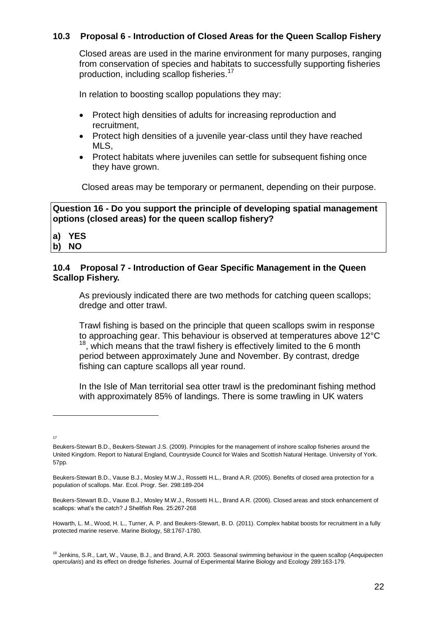#### **10.3 Proposal 6 - Introduction of Closed Areas for the Queen Scallop Fishery**

Closed areas are used in the marine environment for many purposes, ranging from conservation of species and habitats to successfully supporting fisheries production, including scallop fisheries.<sup>17</sup>

In relation to boosting scallop populations they may:

- Protect high densities of adults for increasing reproduction and recruitment,
- Protect high densities of a juvenile year-class until they have reached MLS,
- Protect habitats where juveniles can settle for subsequent fishing once they have grown.

Closed areas may be temporary or permanent, depending on their purpose.

#### **Question 16 - Do you support the principle of developing spatial management options (closed areas) for the queen scallop fishery?**

**a) YES b) NO**

#### **10.4 Proposal 7 - Introduction of Gear Specific Management in the Queen Scallop Fishery.**

As previously indicated there are two methods for catching queen scallops; dredge and otter trawl.

Trawl fishing is based on the principle that queen scallops swim in response to approaching gear. This behaviour is observed at temperatures above 12°C  $18$ , which means that the trawl fishery is effectively limited to the 6 month period between approximately June and November. By contrast, dredge fishing can capture scallops all year round.

In the Isle of Man territorial sea otter trawl is the predominant fishing method with approximately 85% of landings. There is some trawling in UK waters

17

1

Howarth, L. M., Wood, H. L., Turner, A. P. and Beukers-Stewart, B. D. (2011). Complex habitat boosts for recruitment in a fully protected marine reserve. Marine Biology, 58:1767-1780.

Beukers-Stewart B.D., Beukers-Stewart J.S. (2009). Principles for the management of inshore scallop fisheries around the United Kingdom. Report to Natural England, Countryside Council for Wales and Scottish Natural Heritage. University of York. 57pp.

Beukers-Stewart B.D., Vause B.J., Mosley M.W.J., Rossetti H.L., Brand A.R. (2005). Benefits of closed area protection for a population of scallops. Mar. Ecol. Progr. Ser. 298:189-204

Beukers-Stewart B.D., Vause B.J., Mosley M.W.J., Rossetti H.L., Brand A.R. (2006). Closed areas and stock enhancement of scallops: what's the catch? J Shellfish Res. 25:267-268

<sup>18</sup> Jenkins, S.R., Lart, W., Vause, B.J., and Brand, A.R. 2003. Seasonal swimming behaviour in the queen scallop (*Aequipecten opercularis*) and its effect on dredge fisheries. Journal of Experimental Marine Biology and Ecology 289:163-179.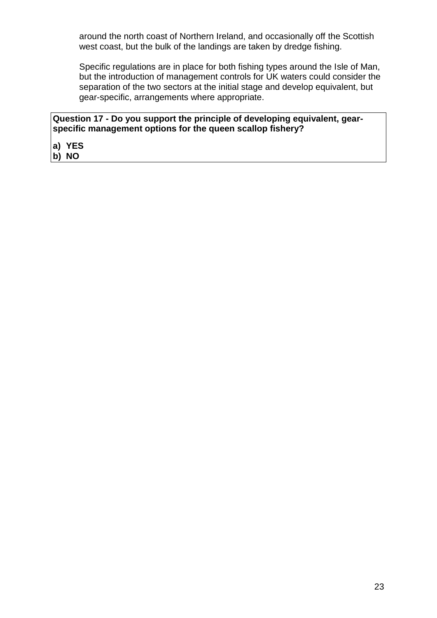around the north coast of Northern Ireland, and occasionally off the Scottish west coast, but the bulk of the landings are taken by dredge fishing.

Specific regulations are in place for both fishing types around the Isle of Man, but the introduction of management controls for UK waters could consider the separation of the two sectors at the initial stage and develop equivalent, but gear-specific, arrangements where appropriate.

**Question 17 - Do you support the principle of developing equivalent, gearspecific management options for the queen scallop fishery?**

**a) YES b) NO**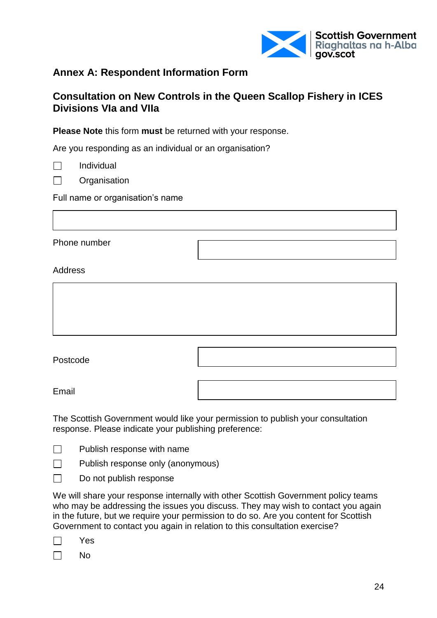

# **Annex A: Respondent Information Form**

# **Consultation on New Controls in the Queen Scallop Fishery in ICES Divisions VIa and VIIa**

**Please Note** this form **must** be returned with your response.

Are you responding as an individual or an organisation?

| Individual |
|------------|
|            |

 $\Box$ **Organisation** 

Full name or organisation"s name

Phone number

#### Address

| Postcode |  |
|----------|--|

Email

The Scottish Government would like your permission to publish your consultation response. Please indicate your publishing preference:

 $\Box$ Publish response with name



 $\Box$ Do not publish response

We will share your response internally with other Scottish Government policy teams who may be addressing the issues you discuss. They may wish to contact you again in the future, but we require your permission to do so. Are you content for Scottish Government to contact you again in relation to this consultation exercise?

 $\Box$ No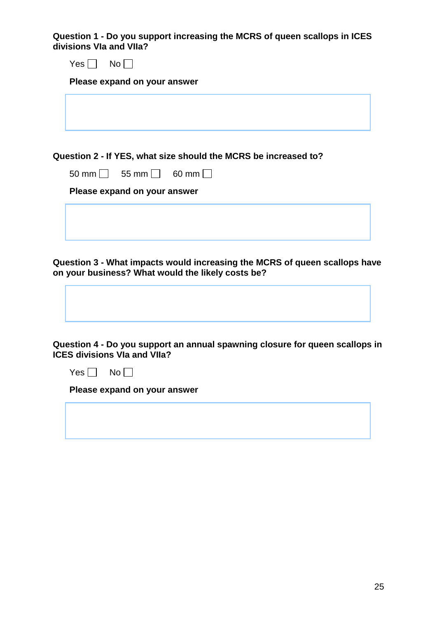**Question 1 - Do you support increasing the MCRS of queen scallops in ICES divisions VIa and VIIa?**

| Yes | <b>No</b>                    |                                                                 |
|-----|------------------------------|-----------------------------------------------------------------|
|     | Please expand on your answer |                                                                 |
|     |                              |                                                                 |
|     |                              |                                                                 |
|     |                              |                                                                 |
|     |                              |                                                                 |
|     |                              | Question 2 - If YES, what size should the MCRS be increased to? |
|     | $50 \text{ mm}$ 55 mm 60 mm  |                                                                 |

**Question 3 - What impacts would increasing the MCRS of queen scallops have on your business? What would the likely costs be?**

**Question 4 - Do you support an annual spawning closure for queen scallops in ICES divisions VIa and VIIa?** 

 $Yes \Box No \Box$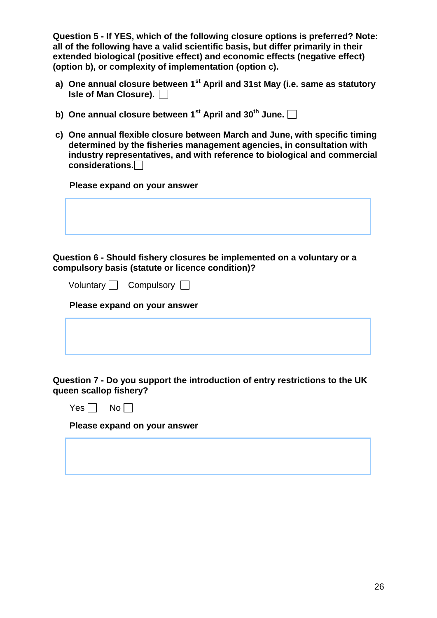**Question 5 - If YES, which of the following closure options is preferred? Note: all of the following have a valid scientific basis, but differ primarily in their extended biological (positive effect) and economic effects (negative effect) (option b), or complexity of implementation (option c).**

- **a) One annual closure between 1st April and 31st May (i.e. same as statutory Isle of Man Closure).**
- **b) One annual closure between 1st April and 30th June.**
- **c) One annual flexible closure between March and June, with specific timing determined by the fisheries management agencies, in consultation with industry representatives, and with reference to biological and commercial considerations.**

**Please expand on your answer** 

**Question 6 - Should fishery closures be implemented on a voluntary or a compulsory basis (statute or licence condition)?** 

| Voluntary | Compulsory |  |
|-----------|------------|--|
|-----------|------------|--|

**Please expand on your answer** 

**Question 7 - Do you support the introduction of entry restrictions to the UK queen scallop fishery?**



**Please expand on your answer** 

26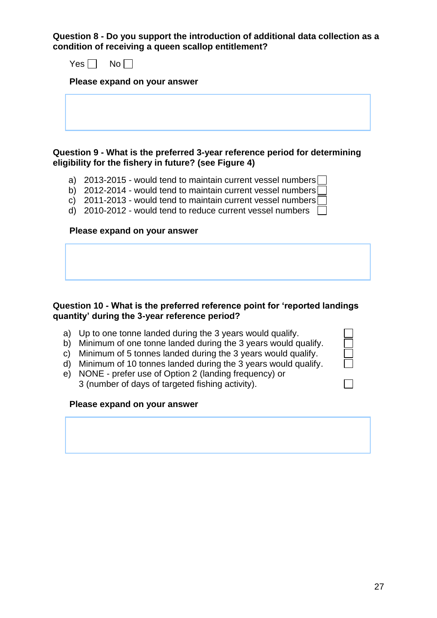**Question 8 - Do you support the introduction of additional data collection as a condition of receiving a queen scallop entitlement?**

| Y.<br>es | No |
|----------|----|
|----------|----|

**Please expand on your answer** 

#### **Question 9 - What is the preferred 3-year reference period for determining eligibility for the fishery in future? (see Figure 4)**

- a) 2013-2015 would tend to maintain current vessel numbers
- b) 2012-2014 would tend to maintain current vessel numbers
- c) 2011-2013 would tend to maintain current vessel numbers
- d) 2010-2012 would tend to reduce current vessel numbers  $\Box$

#### **Please expand on your answer**

#### **Question 10 - What is the preferred reference point for 'reported landings quantity' during the 3-year reference period?**

- a) Up to one tonne landed during the 3 years would qualify.
- b) Minimum of one tonne landed during the 3 years would qualify.
- c) Minimum of 5 tonnes landed during the 3 years would qualify.
- d) Minimum of 10 tonnes landed during the 3 years would qualify.
- e) NONE prefer use of Option 2 (landing frequency) or 3 (number of days of targeted fishing activity).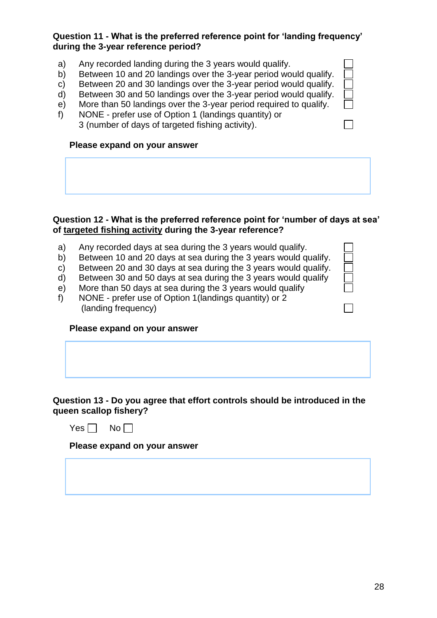#### **Question 11 - What is the preferred reference point for 'landing frequency' during the 3-year reference period?**

- a) Any recorded landing during the 3 years would qualify.
- b) Between 10 and 20 landings over the 3-year period would qualify.
- c) Between 20 and 30 landings over the 3-year period would qualify.
- d) Between 30 and 50 landings over the 3-year period would qualify.
- e) More than 50 landings over the 3-year period required to qualify.
- f) NONE prefer use of Option 1 (landings quantity) or 3 (number of days of targeted fishing activity).

#### **Please expand on your answer**

#### **Question 12 - What is the preferred reference point for 'number of days at sea' of targeted fishing activity during the 3-year reference?**

- a) Any recorded days at sea during the 3 years would qualify.
- b) Between 10 and 20 days at sea during the 3 years would qualify.
- c) Between 20 and 30 days at sea during the 3 years would qualify.
- d) Between 30 and 50 days at sea during the 3 years would qualify
- e) More than 50 days at sea during the 3 years would qualify
- f) NONE prefer use of Option 1(landings quantity) or 2 (landing frequency)

#### **Please expand on your answer**

#### **Question 13 - Do you agree that effort controls should be introduced in the queen scallop fishery?**

 $Yes \Box No \Box$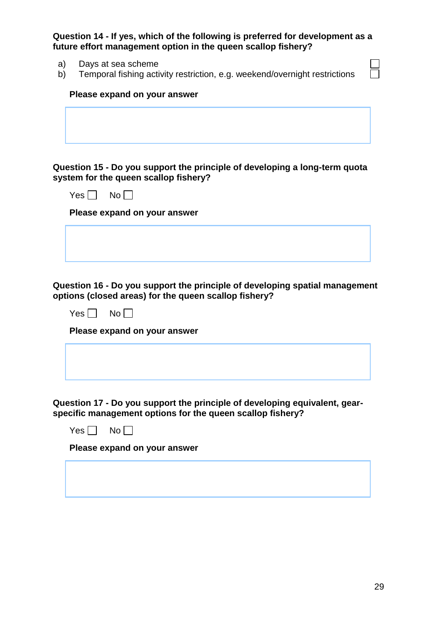**Question 14 - If yes, which of the following is preferred for development as a future effort management option in the queen scallop fishery?**

- a) Days at sea scheme
- b) Temporal fishing activity restriction, e.g. weekend/overnight restrictions

#### **Please expand on your answer**

**Question 15 - Do you support the principle of developing a long-term quota system for the queen scallop fishery?**

| -- |  |  |
|----|--|--|
|    |  |  |

**Please expand on your answer** 

**Question 16 - Do you support the principle of developing spatial management options (closed areas) for the queen scallop fishery?**

**Please expand on your answer** 

**Question 17 - Do you support the principle of developing equivalent, gearspecific management options for the queen scallop fishery?**

 $Yes \Box No \Box$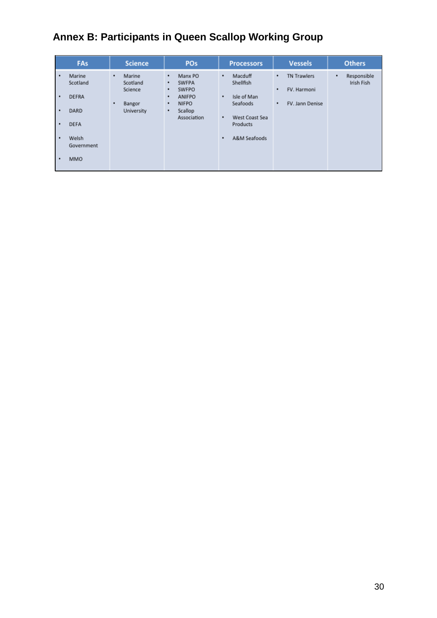# **Annex B: Participants in Queen Scallop Working Group**

| FAs                      | <b>Science</b>                     | <b>POs</b>                                      | <b>Processors</b>            | <b>Vessels</b>                              | <b>Others</b>                  |
|--------------------------|------------------------------------|-------------------------------------------------|------------------------------|---------------------------------------------|--------------------------------|
| Marine<br>٠<br>Scotland  | Marine<br>٠<br>Scotland<br>Science | Manx PO<br>٠<br><b>SWFPA</b><br>٠<br>SWFPO<br>٠ | Macduff<br>٠<br>Shellfish    | <b>TN Trawlers</b><br>٠<br>FV. Harmoni<br>٠ | Responsible<br>٠<br>Irish Fish |
| <b>DEFRA</b><br>٠        | Bangor<br>٠                        | ANIFPO<br>٠<br><b>NIFPO</b><br>٠                | Isle of Man<br>٠<br>Seafoods | FV. Jann Denise<br>٠                        |                                |
| DARD<br>٠                | University                         | Scallop<br>٠<br>Association                     | West Coast Sea<br>٠          |                                             |                                |
| <b>DEFA</b><br>٠         |                                    |                                                 | Products                     |                                             |                                |
| Welsh<br>٠<br>Government |                                    |                                                 | A&M Seafoods<br>٠            |                                             |                                |
| <b>MMO</b><br>٠          |                                    |                                                 |                              |                                             |                                |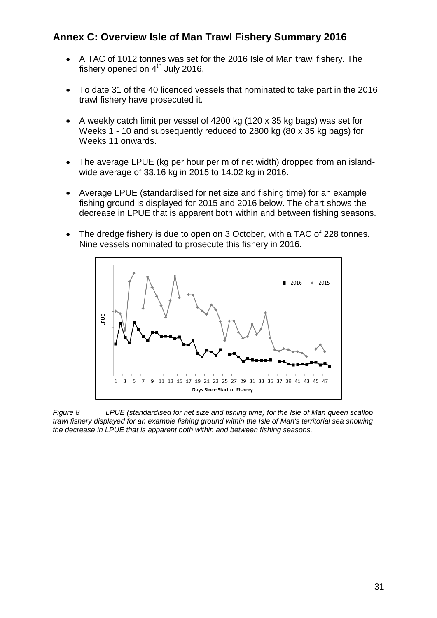# **Annex C: Overview Isle of Man Trawl Fishery Summary 2016**

- A TAC of 1012 tonnes was set for the 2016 Isle of Man trawl fishery. The fishery opened on  $4<sup>th</sup>$  July 2016.
- To date 31 of the 40 licenced vessels that nominated to take part in the 2016 trawl fishery have prosecuted it.
- A weekly catch limit per vessel of 4200 kg (120 x 35 kg bags) was set for Weeks 1 - 10 and subsequently reduced to 2800 kg (80 x 35 kg bags) for Weeks 11 onwards.
- The average LPUE (kg per hour per m of net width) dropped from an islandwide average of 33.16 kg in 2015 to 14.02 kg in 2016.
- Average LPUE (standardised for net size and fishing time) for an example fishing ground is displayed for 2015 and 2016 below. The chart shows the decrease in LPUE that is apparent both within and between fishing seasons.
- The dredge fishery is due to open on 3 October, with a TAC of 228 tonnes. Nine vessels nominated to prosecute this fishery in 2016.



*Figure 8 LPUE (standardised for net size and fishing time) for the Isle of Man queen scallop trawl fishery displayed for an example fishing ground within the Isle of Man's territorial sea showing the decrease in LPUE that is apparent both within and between fishing seasons.*